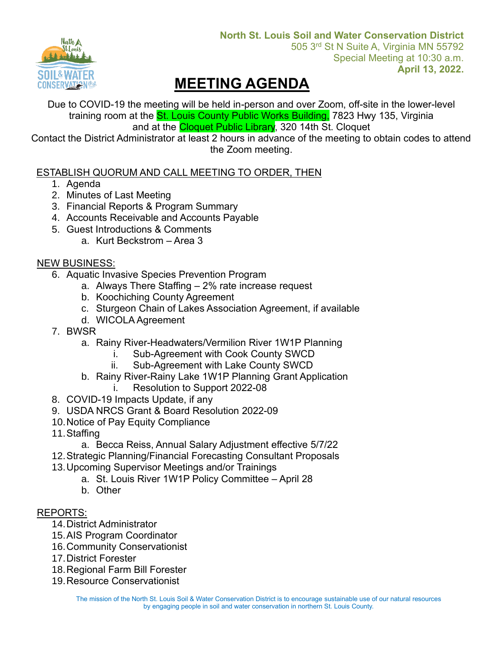

# **MEETING AGENDA**

Due to COVID-19 the meeting will be held in-person and over Zoom, off-site in the lower-level training room at the **St. Louis County Public Works Building**, 7823 Hwy 135, Virginia and at the **Cloquet Public Library**, 320 14th St. Cloquet

Contact the District Administrator at least 2 hours in advance of the meeting to obtain codes to attend the Zoom meeting.

## ESTABLISH QUORUM AND CALL MEETING TO ORDER, THEN

- 1. Agenda
- 2. Minutes of Last Meeting
- 3. Financial Reports & Program Summary
- 4. Accounts Receivable and Accounts Payable
- 5. Guest Introductions & Comments
	- a. Kurt Beckstrom Area 3

### **NEW BUSINESS:**

- 6. Aquatic Invasive Species Prevention Program
	- a. Always There Staffing 2% rate increase request
	- b. Koochiching County Agreement
	- c. Sturgeon Chain of Lakes Association Agreement, if available
	- d. WICOLA Agreement
- 7. BWSR
	- a. Rainy River-Headwaters/Vermilion River 1W1P Planning
		- i. Sub-Agreement with Cook County SWCD
		- ii. Sub-Agreement with Lake County SWCD
	- b. Rainy River-Rainy Lake 1W1P Planning Grant Application
		- i. Resolution to Support 2022-08
- 8. COVID-19 Impacts Update, if any
- 9. USDA NRCS Grant & Board Resolution 2022-09
- 10.Notice of Pay Equity Compliance
- 11.Staffing
	- a. Becca Reiss, Annual Salary Adjustment effective 5/7/22
- 12.Strategic Planning/Financial Forecasting Consultant Proposals
- 13.Upcoming Supervisor Meetings and/or Trainings
	- a. St. Louis River 1W1P Policy Committee April 28
	- b. Other

#### REPORTS:

- 14.District Administrator
- 15.AIS Program Coordinator
- 16.Community Conservationist
- 17.District Forester
- 18.Regional Farm Bill Forester
- 19.Resource Conservationist